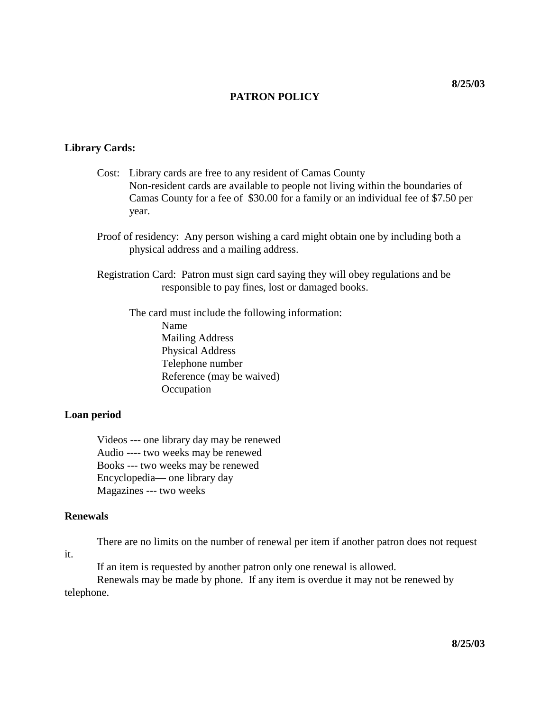# **PATRON POLICY**

# **Library Cards:**

- Cost: Library cards are free to any resident of Camas County Non-resident cards are available to people not living within the boundaries of Camas County for a fee of \$30.00 for a family or an individual fee of \$7.50 per year.
- Proof of residency: Any person wishing a card might obtain one by including both a physical address and a mailing address.

Registration Card: Patron must sign card saying they will obey regulations and be responsible to pay fines, lost or damaged books.

The card must include the following information: Name Mailing Address Physical Address Telephone number Reference (may be waived) **Occupation** 

#### **Loan period**

Videos --- one library day may be renewed Audio ---- two weeks may be renewed Books --- two weeks may be renewed Encyclopedia— one library day Magazines --- two weeks

## **Renewals**

it.

There are no limits on the number of renewal per item if another patron does not request

If an item is requested by another patron only one renewal is allowed.

Renewals may be made by phone. If any item is overdue it may not be renewed by telephone.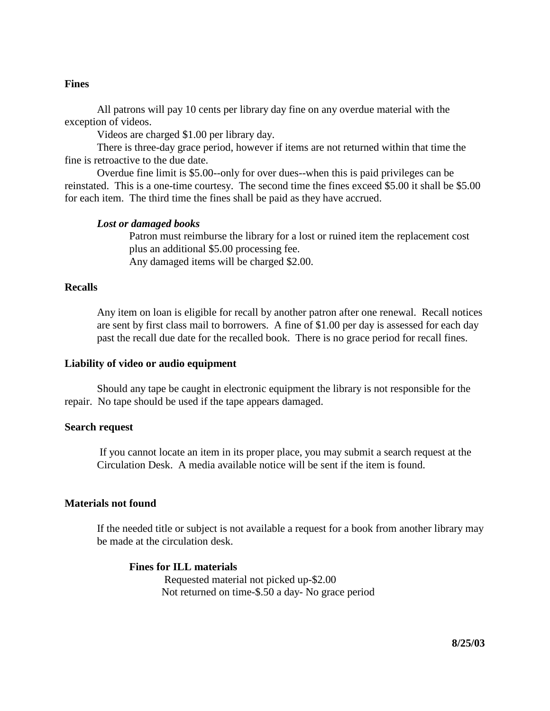#### **Fines**

All patrons will pay 10 cents per library day fine on any overdue material with the exception of videos.

Videos are charged \$1.00 per library day.

There is three-day grace period, however if items are not returned within that time the fine is retroactive to the due date.

Overdue fine limit is \$5.00--only for over dues--when this is paid privileges can be reinstated. This is a one-time courtesy. The second time the fines exceed \$5.00 it shall be \$5.00 for each item. The third time the fines shall be paid as they have accrued.

#### *Lost or damaged books*

Patron must reimburse the library for a lost or ruined item the replacement cost plus an additional \$5.00 processing fee. Any damaged items will be charged \$2.00.

#### **Recalls**

Any item on loan is eligible for recall by another patron after one renewal. Recall notices are sent by first class mail to borrowers. A fine of \$1.00 per day is assessed for each day past the recall due date for the recalled book. There is no grace period for recall fines.

#### **Liability of video or audio equipment**

Should any tape be caught in electronic equipment the library is not responsible for the repair. No tape should be used if the tape appears damaged.

## **Search request**

If you cannot locate an item in its proper place, you may submit a search request at the Circulation Desk. A media available notice will be sent if the item is found.

## **Materials not found**

If the needed title or subject is not available a request for a book from another library may be made at the circulation desk.

# **Fines for ILL materials**

Requested material not picked up-\$2.00 Not returned on time-\$.50 a day- No grace period